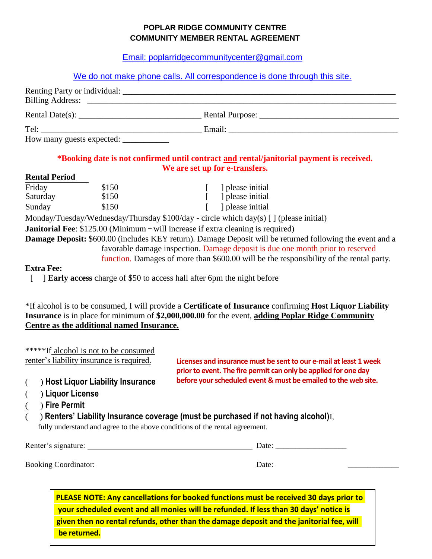## **POPLAR RIDGE COMMUNITY CENTRE COMMUNITY MEMBER RENTAL AGREEMENT**

[Email: poplarridgecommunitycenter@gmail.com](mailto:poplarridgecommunitycenter@gmail.com)

## We do not make phone calls. All correspondence is done through this site.

| Rental Date(s): $\frac{1}{\sqrt{1-\frac{1}{2}} \cdot \frac{1}{2}}$                                                                                                                                                             |               |
|--------------------------------------------------------------------------------------------------------------------------------------------------------------------------------------------------------------------------------|---------------|
| Tel: The contract of the contract of the contract of the contract of the contract of the contract of the contract of the contract of the contract of the contract of the contract of the contract of the contract of the contr | Email: Email: |
|                                                                                                                                                                                                                                |               |

#### **\*Booking date is not confirmed until contract and rental/janitorial payment is received. We are set up for e-transfers.**

#### **Rental Period**

| Friday   | \$150 | please initial |
|----------|-------|----------------|
| Saturday | \$150 | please initial |
| Sunday   | \$150 | please initial |

Monday/Tuesday/Wednesday/Thursday \$100/day - circle which day(s) [ ] (please initial)

**Janitorial Fee**: \$125.00 (Minimum – will increase if extra cleaning is required)

**Damage Deposit:** \$600.00 (includes KEY return). Damage Deposit will be returned following the event and a favorable damage inspection. Damage deposit is due one month prior to reserved

function. Damages of more than \$600.00 will be the responsibility of the rental party.

#### **Extra Fee:**

[ ] **Early access** charge of \$50 to access hall after 6pm the night before

\*If alcohol is to be consumed, I will provide a **Certificate of Insurance** confirming **Host Liquor Liability Insurance** is in place for minimum of **\$2,000,000.00** for the event, **adding Poplar Ridge Community Centre as the additional named Insurance.** 

|                                           | *****If alcohol is not to be consumed |  |
|-------------------------------------------|---------------------------------------|--|
| renter's liability insurance is required. |                                       |  |

**Licenses and insurance must be sent to our e-mail at least 1 week prior to event. The fire permit can only be applied for one day before your scheduled event & must be emailed to the web site.**

- ( ) **Host Liquor Liability Insurance**
- ( ) **Liquor License**
- ( ) **Fire Permit**

( ) **Renters' Liability Insurance coverage (must be purchased if not having alcohol)**I, fully understand and agree to the above conditions of the rental agreement.

| Renter's signature:         | Date:                |
|-----------------------------|----------------------|
| <b>Booking Coordinator:</b> | Date:<br>___________ |

**PLEASE NOTE: Any cancellations for booked functions must be received 30 days prior to your scheduled event and all monies will be refunded. If less than 30 days' notice is given then no rental refunds, other than the damage deposit and the janitorial fee, will be returned.**